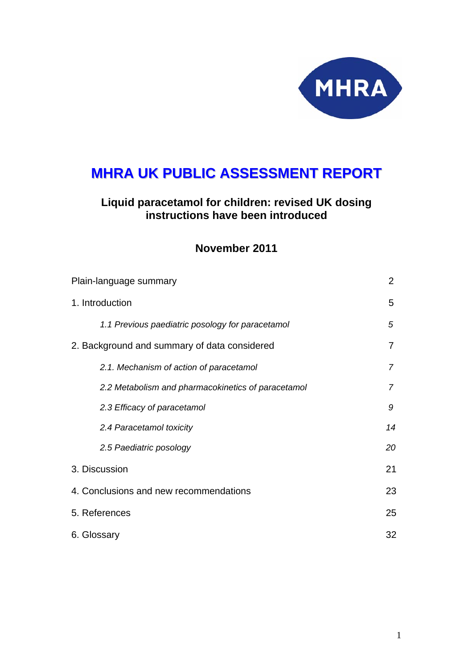

# **MHRA UK PUBLIC ASSESSMENT REPORT**

# **Liquid paracetamol for children: revised UK dosing instructions have been introduced**

# **November 2011**

| Plain-language summary                             |    |  |
|----------------------------------------------------|----|--|
| 1. Introduction                                    | 5  |  |
| 1.1 Previous paediatric posology for paracetamol   | 5  |  |
| 2. Background and summary of data considered       | 7  |  |
| 2.1. Mechanism of action of paracetamol            | 7  |  |
| 2.2 Metabolism and pharmacokinetics of paracetamol | 7  |  |
| 2.3 Efficacy of paracetamol                        | 9  |  |
| 2.4 Paracetamol toxicity                           | 14 |  |
| 2.5 Paediatric posology                            | 20 |  |
| 3. Discussion                                      | 21 |  |
| 4. Conclusions and new recommendations             | 23 |  |
| 5. References                                      | 25 |  |
| 6. Glossary                                        |    |  |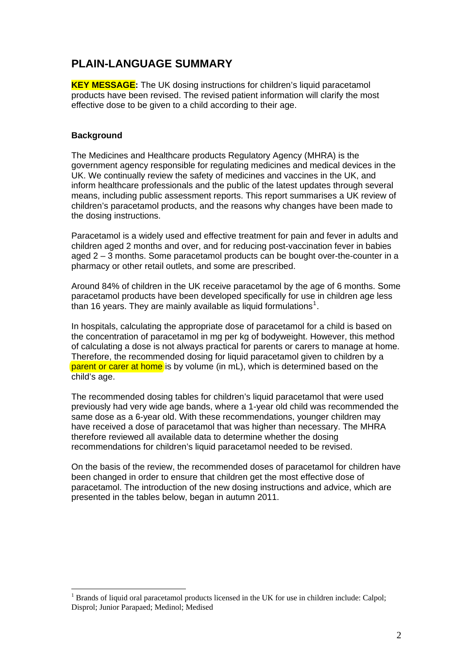# **PLAIN-LANGUAGE SUMMARY**

**KEY MESSAGE:** The UK dosing instructions for children's liquid paracetamol products have been revised. The revised patient information will clarify the most effective dose to be given to a child according to their age.

# **Background**

 $\overline{a}$ 

The Medicines and Healthcare products Regulatory Agency (MHRA) is the government agency responsible for regulating medicines and medical devices in the UK. We continually review the safety of medicines and vaccines in the UK, and inform healthcare professionals and the public of the latest updates through several means, including public assessment reports. This report summarises a UK review of children's paracetamol products, and the reasons why changes have been made to the dosing instructions.

Paracetamol is a widely used and effective treatment for pain and fever in adults and children aged 2 months and over, and for reducing post-vaccination fever in babies aged 2 – 3 months. Some paracetamol products can be bought over-the-counter in a pharmacy or other retail outlets, and some are prescribed.

Around 84% of children in the UK receive paracetamol by the age of 6 months. Some paracetamol products have been developed specifically for use in children age less than [1](#page-1-0)6 years. They are mainly available as liquid formulations<sup>1</sup>.

In hospitals, calculating the appropriate dose of paracetamol for a child is based on the concentration of paracetamol in mg per kg of bodyweight. However, this method of calculating a dose is not always practical for parents or carers to manage at home. Therefore, the recommended dosing for liquid paracetamol given to children by a parent or carer at home is by volume (in mL), which is determined based on the child's age.

The recommended dosing tables for children's liquid paracetamol that were used previously had very wide age bands, where a 1-year old child was recommended the same dose as a 6-year old. With these recommendations, younger children may have received a dose of paracetamol that was higher than necessary. The MHRA therefore reviewed all available data to determine whether the dosing recommendations for children's liquid paracetamol needed to be revised.

On the basis of the review, the recommended doses of paracetamol for children have been changed in order to ensure that children get the most effective dose of paracetamol. The introduction of the new dosing instructions and advice, which are presented in the tables below, began in autumn 2011.

<span id="page-1-0"></span> $<sup>1</sup>$  Brands of liquid oral paracetamol products licensed in the UK for use in children include: Calpol;</sup> Disprol; Junior Parapaed; Medinol; Medised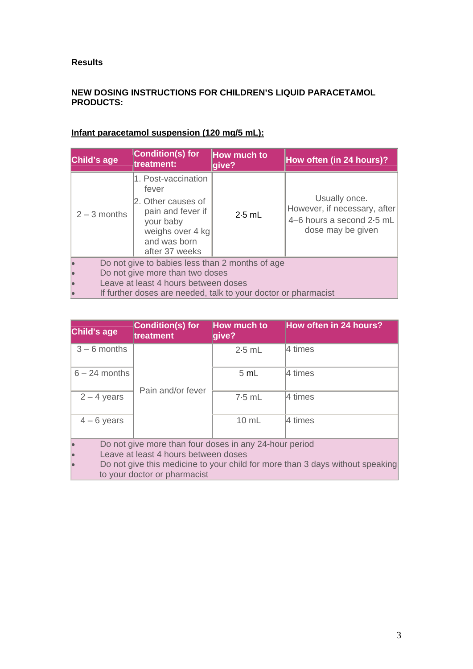## **Results**

# **NEW DOSING INSTRUCTIONS FOR CHILDREN'S LIQUID PARACETAMOL PRODUCTS:**

| Child's age                                                    | <b>Condition(s) for</b><br>treatment:                                                                                                      | How much to<br>give? | How often (in 24 hours)?                                                                        |
|----------------------------------------------------------------|--------------------------------------------------------------------------------------------------------------------------------------------|----------------------|-------------------------------------------------------------------------------------------------|
| $2 - 3$ months                                                 | 1. Post-vaccination<br>fever<br>2. Other causes of<br>pain and fever if<br>your baby<br>weighs over 4 kg<br>and was born<br>after 37 weeks | $2.5$ mL             | Usually once.<br>However, if necessary, after<br>4-6 hours a second 2.5 mL<br>dose may be given |
| Do not give to babies less than 2 months of age                |                                                                                                                                            |                      |                                                                                                 |
| Do not give more than two doses                                |                                                                                                                                            |                      |                                                                                                 |
| Leave at least 4 hours between doses                           |                                                                                                                                            |                      |                                                                                                 |
| If further doses are needed, talk to your doctor or pharmacist |                                                                                                                                            |                      |                                                                                                 |

# **Infant paracetamol suspension (120 mg/5 mL):**

| Child's age     | <b>Condition(s) for</b><br>treatment                                          | How much to<br>give? | <b>How often in 24 hours?</b> |  |
|-----------------|-------------------------------------------------------------------------------|----------------------|-------------------------------|--|
| $3 - 6$ months  | Pain and/or fever                                                             | $2.5$ mL             | 4 times                       |  |
| $6 - 24$ months |                                                                               | 5 mL                 | 4 times                       |  |
| $2 - 4$ years   |                                                                               | $7.5$ mL             | 4 times                       |  |
| $4 - 6$ years   |                                                                               | 10 mL                | 4 times                       |  |
|                 | Do not give more than four doses in any 24-hour period                        |                      |                               |  |
|                 | Leave at least 4 hours between doses                                          |                      |                               |  |
|                 | Do not give this medicine to your child for more than 3 days without speaking |                      |                               |  |

to your doctor or pharmacist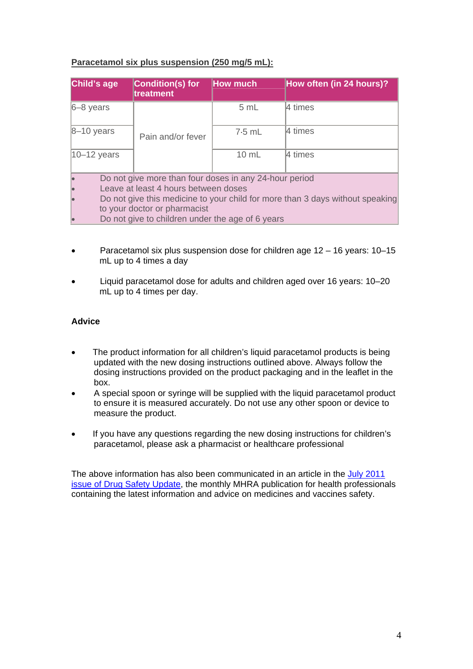# **Paracetamol six plus suspension (250 mg/5 mL):**

| Child's age      | <b>Condition(s) for</b><br>treatment                                          | <b>How much</b> | How often (in 24 hours)? |
|------------------|-------------------------------------------------------------------------------|-----------------|--------------------------|
| $6 - 8$ years    |                                                                               | 5 mL            | l4 times                 |
| $8 - 10$ years   | Pain and/or fever                                                             | $7.5$ mL        | l4 times                 |
| $ 10 - 12$ years |                                                                               | 10 mL           | 4 times                  |
|                  | Do not give more than four doses in any 24-hour period                        |                 |                          |
|                  | Leave at least 4 hours between doses                                          |                 |                          |
|                  | Do not give this medicine to your child for more than 3 days without speaking |                 |                          |
|                  | to your doctor or pharmacist                                                  |                 |                          |
|                  | Do not give to children under the age of 6 years                              |                 |                          |

- Paracetamol six plus suspension dose for children age 12 16 years: 10–15 mL up to 4 times a day
- Liquid paracetamol dose for adults and children aged over 16 years: 10–20 mL up to 4 times per day.

# **Advice**

- The product information for all children's liquid paracetamol products is being updated with the new dosing instructions outlined above. Always follow the dosing instructions provided on the product packaging and in the leaflet in the box.
- A special spoon or syringe will be supplied with the liquid paracetamol product to ensure it is measured accurately. Do not use any other spoon or device to measure the product.
- If you have any questions regarding the new dosing instructions for children's paracetamol, please ask a pharmacist or healthcare professional

The above information has also been communicated in an article in the July 2011 [issue of Drug Safety Update](http://www.mhra.gov.uk/Safetyinformation/DrugSafetyUpdate/CON123113), the monthly MHRA publication for health professionals containing the latest information and advice on medicines and vaccines safety.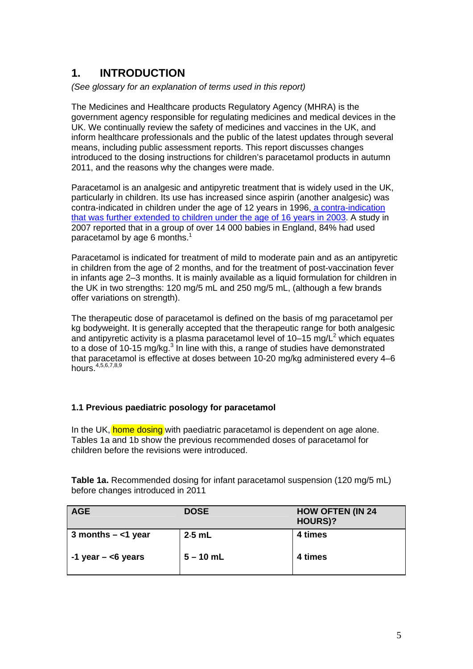# **1. INTRODUCTION**

*(See glossary for an explanation of terms used in this report)* 

The Medicines and Healthcare products Regulatory Agency (MHRA) is the government agency responsible for regulating medicines and medical devices in the UK. We continually review the safety of medicines and vaccines in the UK, and inform healthcare professionals and the public of the latest updates through several means, including public assessment reports. This report discusses changes introduced to the dosing instructions for children's paracetamol products in autumn 2011, and the reasons why the changes were made.

Paracetamol is an analgesic and antipyretic treatment that is widely used in the UK, particularly in children. Its use has increased since aspirin (another analgesic) was contra-indicated in children under the age of 12 years in 1996, [a contra-indication](http://www.mhra.gov.uk/Safetyinformation/Safetywarningsalertsandrecalls/Safetywarningsandmessagesformedicines/CON2015714)  [that was further extended to children under the age of 16 years in 2003](http://www.mhra.gov.uk/Safetyinformation/Safetywarningsalertsandrecalls/Safetywarningsandmessagesformedicines/CON2015714). A study in 2007 reported that in a group of over 14 000 babies in England, 84% had used paracetamol by age 6 months. $1$ 

Paracetamol is indicated for treatment of mild to moderate pain and as an antipyretic in children from the age of 2 months, and for the treatment of post-vaccination fever in infants age 2–3 months. It is mainly available as a liquid formulation for children in the UK in two strengths: 120 mg/5 mL and 250 mg/5 mL, (although a few brands offer variations on strength).

The therapeutic dose of paracetamol is defined on the basis of mg paracetamol per kg bodyweight. It is generally accepted that the therapeutic range for both analgesic and antipyretic activity is a plasma paracetamol level of  $10-15$  mg/L<sup>2</sup> which equates to a dose of 10-15 mg/kg. $3$  In line with this, a range of studies have demonstrated that paracetamol is effective at doses between 10-20 mg/kg administered every 4–6 hours.4,5,6,7,8,9

# **1.1 Previous paediatric posology for paracetamol**

In the UK, home dosing with paediatric paracetamol is dependent on age alone. Tables 1a and 1b show the previous recommended doses of paracetamol for children before the revisions were introduced.

**Table 1a.** Recommended dosing for infant paracetamol suspension (120 mg/5 mL) before changes introduced in 2011

| <b>AGE</b>             | <b>DOSE</b> | <b>HOW OFTEN (IN 24</b><br><b>HOURS)?</b> |
|------------------------|-------------|-------------------------------------------|
| 3 months $-$ <1 year   | $2.5$ mL    | 4 times                                   |
| $-1$ year $-$ <6 years | $5 - 10$ mL | 4 times                                   |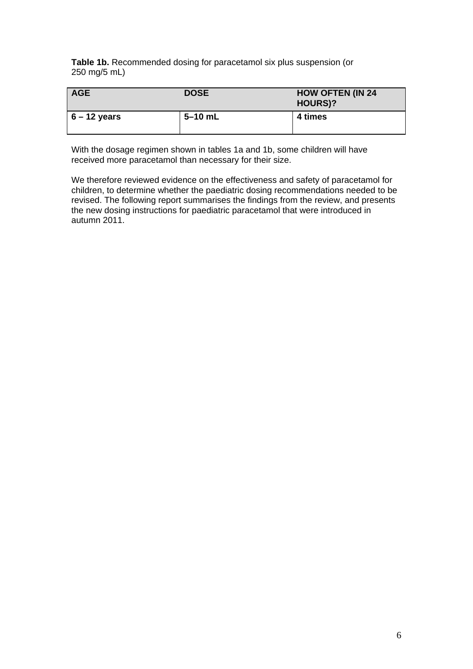**Table 1b.** Recommended dosing for paracetamol six plus suspension (or 250 mg/5 mL)

| <b>AGE</b>     | <b>DOSE</b> | <b>HOW OFTEN (IN 24</b><br><b>HOURS)?</b> |
|----------------|-------------|-------------------------------------------|
| $6 - 12$ years | $5 - 10$ mL | 4 times                                   |

With the dosage regimen shown in tables 1a and 1b, some children will have received more paracetamol than necessary for their size.

We therefore reviewed evidence on the effectiveness and safety of paracetamol for children, to determine whether the paediatric dosing recommendations needed to be revised. The following report summarises the findings from the review, and presents the new dosing instructions for paediatric paracetamol that were introduced in autumn 2011.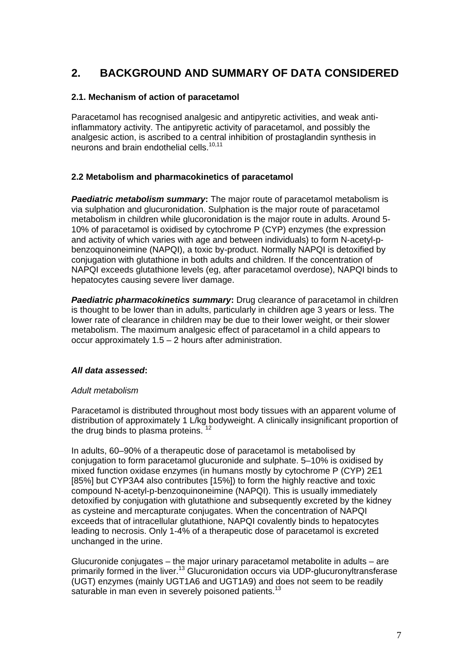# **2. BACKGROUND AND SUMMARY OF DATA CONSIDERED**

# **2.1. Mechanism of action of paracetamol**

Paracetamol has recognised analgesic and antipyretic activities, and weak antiinflammatory activity. The antipyretic activity of paracetamol, and possibly the analgesic action, is ascribed to a central inhibition of prostaglandin synthesis in neurons and brain endothelial cells.<sup>10,11</sup>

# **2.2 Metabolism and pharmacokinetics of paracetamol**

*Paediatric metabolism summary*: The major route of paracetamol metabolism is via sulphation and glucuronidation. Sulphation is the major route of paracetamol metabolism in children while glucoronidation is the major route in adults. Around 5- 10% of paracetamol is oxidised by cytochrome P (CYP) enzymes (the expression and activity of which varies with age and between individuals) to form N-acetyl-pbenzoquinoneimine (NAPQI), a toxic by-product. Normally NAPQI is detoxified by conjugation with glutathione in both adults and children. If the concentration of NAPQI exceeds glutathione levels (eg, after paracetamol overdose), NAPQI binds to hepatocytes causing severe liver damage.

**Paediatric pharmacokinetics summary:** Drug clearance of paracetamol in children is thought to be lower than in adults, particularly in children age 3 years or less. The lower rate of clearance in children may be due to their lower weight, or their slower metabolism. The maximum analgesic effect of paracetamol in a child appears to occur approximately 1.5 – 2 hours after administration.

## *All data assessed***:**

## *Adult metabolism*

Paracetamol is distributed throughout most body tissues with an apparent volume of distribution of approximately 1 L/kg bodyweight. A clinically insignificant proportion of the drug binds to plasma proteins.  $12$ 

In adults, 60–90% of a therapeutic dose of paracetamol is metabolised by conjugation to form paracetamol glucuronide and sulphate. 5–10% is oxidised by mixed function oxidase enzymes (in humans mostly by cytochrome P (CYP) 2E1 [85%] but CYP3A4 also contributes [15%]) to form the highly reactive and toxic compound N-acetyl-p-benzoquinoneimine (NAPQI). This is usually immediately detoxified by conjugation with glutathione and subsequently excreted by the kidney as cysteine and mercapturate conjugates. When the concentration of NAPQI exceeds that of intracellular glutathione, NAPQI covalently binds to hepatocytes leading to necrosis. Only 1-4% of a therapeutic dose of paracetamol is excreted unchanged in the urine.

Glucuronide conjugates – the major urinary paracetamol metabolite in adults – are primarily formed in the liver.13 Glucuronidation occurs via UDP-glucuronyltransferase (UGT) enzymes (mainly UGT1A6 and UGT1A9) and does not seem to be readily saturable in man even in severely poisoned patients.<sup>13</sup>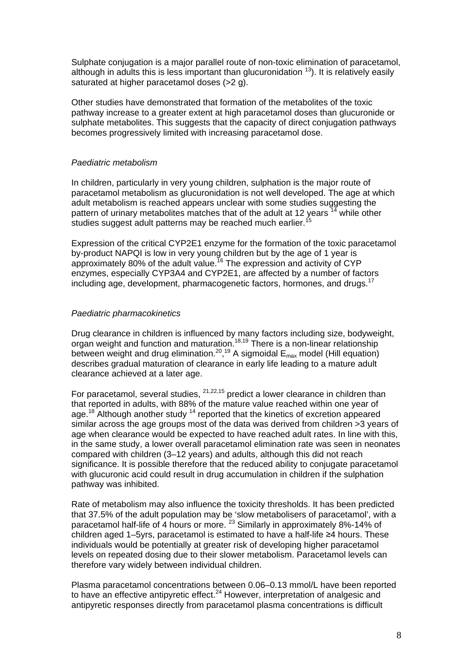Sulphate conjugation is a major parallel route of non-toxic elimination of paracetamol, although in adults this is less important than glucuronidation  $13$ ). It is relatively easily saturated at higher paracetamol doses (>2 g).

Other studies have demonstrated that formation of the metabolites of the toxic pathway increase to a greater extent at high paracetamol doses than glucuronide or sulphate metabolites. This suggests that the capacity of direct conjugation pathways becomes progressively limited with increasing paracetamol dose.

## *Paediatric metabolism*

In children, particularly in very young children, sulphation is the major route of paracetamol metabolism as glucuronidation is not well developed. The age at which adult metabolism is reached appears unclear with some studies suggesting the pattern of urinary metabolites matches that of the adult at 12 years  $14$  while other studies suggest adult patterns may be reached much earlier.

Expression of the critical CYP2E1 enzyme for the formation of the toxic paracetamol by-product NAPQI is low in very young children but by the age of 1 year is approximately 80% of the adult value.16 The expression and activity of CYP enzymes, especially CYP3A4 and CYP2E1, are affected by a number of factors including age, development, pharmacogenetic factors, hormones, and drugs.<sup>17</sup>

## *Paediatric pharmacokinetics*

Drug clearance in children is influenced by many factors including size, bodyweight, organ weight and function and maturation.<sup>18,19</sup> There is a non-linear relationship between weight and drug elimination.<sup>20</sup>,<sup>19</sup> A sigmoidal  $E_{\text{max}}$  model (Hill equation) describes gradual maturation of clearance in early life leading to a mature adult clearance achieved at a later age.

For paracetamol, several studies,  $21,22,15$  predict a lower clearance in children than that reported in adults, with 88% of the mature value reached within one year of age.<sup>18</sup> Although another study <sup>14</sup> reported that the kinetics of excretion appeared similar across the age groups most of the data was derived from children >3 years of age when clearance would be expected to have reached adult rates. In line with this, in the same study, a lower overall paracetamol elimination rate was seen in neonates compared with children (3–12 years) and adults, although this did not reach significance. It is possible therefore that the reduced ability to conjugate paracetamol with glucuronic acid could result in drug accumulation in children if the sulphation pathway was inhibited.

Rate of metabolism may also influence the toxicity thresholds. It has been predicted that 37.5% of the adult population may be 'slow metabolisers of paracetamol', with a paracetamol half-life of 4 hours or more.<sup>23</sup> Similarly in approximately 8%-14% of children aged 1–5yrs, paracetamol is estimated to have a half-life ≥4 hours. These individuals would be potentially at greater risk of developing higher paracetamol levels on repeated dosing due to their slower metabolism. Paracetamol levels can therefore vary widely between individual children.

Plasma paracetamol concentrations between 0.06–0.13 mmol/L have been reported to have an effective antipyretic effect. $24$  However, interpretation of analgesic and antipyretic responses directly from paracetamol plasma concentrations is difficult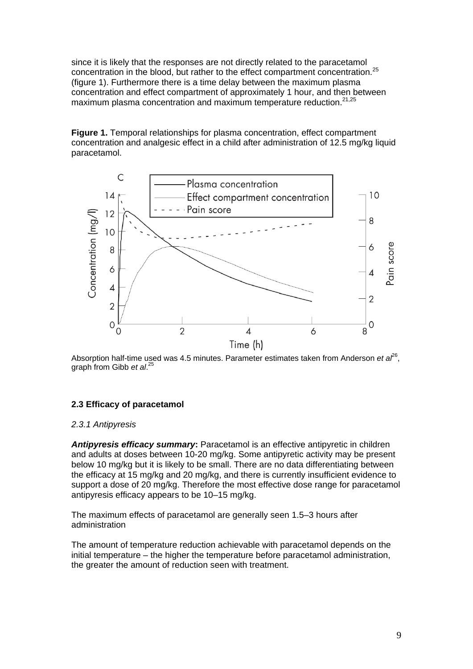since it is likely that the responses are not directly related to the paracetamol concentration in the blood, but rather to the effect compartment concentration.<sup>25</sup> (figure 1). Furthermore there is a time delay between the maximum plasma concentration and effect compartment of approximately 1 hour, and then between maximum plasma concentration and maximum temperature reduction.<sup>21,25</sup>

**Figure 1.** Temporal relationships for plasma concentration, effect compartment concentration and analgesic effect in a child after administration of 12.5 mg/kg liquid paracetamol.



Absorption half-time used was 4.5 minutes. Parameter estimates taken from Anderson et al<sup>26</sup>, graph from Gibb *et al*. 25

# **2.3 Efficacy of paracetamol**

#### *2.3.1 Antipyresis*

*Antipyresis efficacy summary***:** Paracetamol is an effective antipyretic in children and adults at doses between 10-20 mg/kg. Some antipyretic activity may be present below 10 mg/kg but it is likely to be small. There are no data differentiating between the efficacy at 15 mg/kg and 20 mg/kg, and there is currently insufficient evidence to support a dose of 20 mg/kg. Therefore the most effective dose range for paracetamol antipyresis efficacy appears to be 10–15 mg/kg.

The maximum effects of paracetamol are generally seen 1.5–3 hours after administration

The amount of temperature reduction achievable with paracetamol depends on the initial temperature – the higher the temperature before paracetamol administration, the greater the amount of reduction seen with treatment.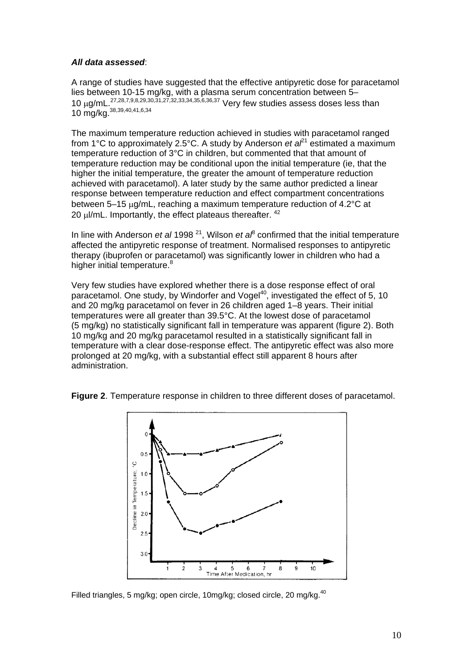## *All data assessed*:

A range of studies have suggested that the effective antipyretic dose for paracetamol lies between 10-15 mg/kg, with a plasma serum concentration between 5– 10 μg/mL 27,28,7,9,8,29,30,31,27,32,33,34,35,6,36,37 Very few studies assess doses less than 10 mg/kg.<sup>38,39,40,41,6,34</sup>

The maximum temperature reduction achieved in studies with paracetamol ranged from 1<sup>°</sup>C to approximately 2.5<sup>°</sup>C. A study by Anderson *et a* $l^1$  estimated a maximum temperature reduction of 3°C in children, but commented that that amount of temperature reduction may be conditional upon the initial temperature (ie, that the higher the initial temperature, the greater the amount of temperature reduction achieved with paracetamol). A later study by the same author predicted a linear response between temperature reduction and effect compartment concentrations between 5–15 μg/mL, reaching a maximum temperature reduction of 4.2°C at 20  $μ$ /mL. Importantly, the effect plateaus thereafter.  $42$ 

In line with Anderson *et al* 1998<sup>21</sup>, Wilson *et a*<sup> $\beta$ </sup> confirmed that the initial temperature affected the antipyretic response of treatment. Normalised responses to antipyretic therapy (ibuprofen or paracetamol) was significantly lower in children who had a higher initial temperature.<sup>8</sup>

Very few studies have explored whether there is a dose response effect of oral paracetamol. One study, by Windorfer and Vogel<sup>40</sup>, investigated the effect of 5, 10 and 20 mg/kg paracetamol on fever in 26 children aged 1–8 years. Their initial temperatures were all greater than 39.5°C. At the lowest dose of paracetamol (5 mg/kg) no statistically significant fall in temperature was apparent (figure 2). Both 10 mg/kg and 20 mg/kg paracetamol resulted in a statistically significant fall in temperature with a clear dose-response effect. The antipyretic effect was also more prolonged at 20 mg/kg, with a substantial effect still apparent 8 hours after administration.

**Figure 2**. Temperature response in children to three different doses of paracetamol.



Filled triangles, 5 mg/kg; open circle, 10mg/kg; closed circle, 20 mg/kg.<sup>40</sup>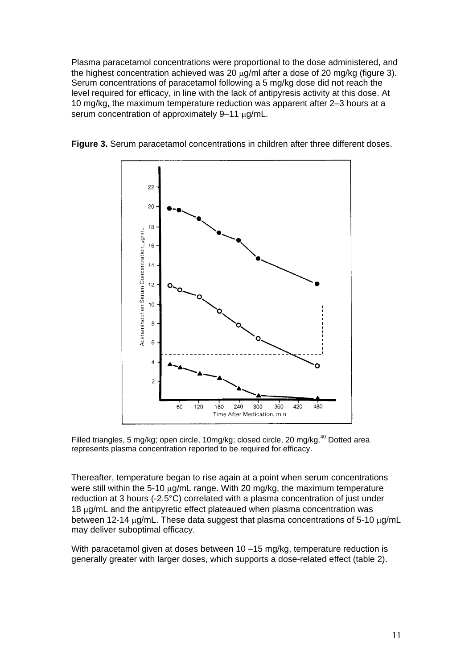Plasma paracetamol concentrations were proportional to the dose administered, and the highest concentration achieved was 20 μg/ml after a dose of 20 mg/kg (figure 3). Serum concentrations of paracetamol following a 5 mg/kg dose did not reach the level required for efficacy, in line with the lack of antipyresis activity at this dose. At 10 mg/kg, the maximum temperature reduction was apparent after 2–3 hours at a serum concentration of approximately 9–11 μg/mL.



**Figure 3.** Serum paracetamol concentrations in children after three different doses.

Filled triangles, 5 mg/kg; open circle, 10mg/kg; closed circle, 20 mg/kg.<sup>40</sup> Dotted area represents plasma concentration reported to be required for efficacy.

Thereafter, temperature began to rise again at a point when serum concentrations were still within the 5-10 μg/mL range. With 20 mg/kg, the maximum temperature reduction at 3 hours (-2.5°C) correlated with a plasma concentration of just under 18 μg/mL and the antipyretic effect plateaued when plasma concentration was between 12-14 μg/mL. These data suggest that plasma concentrations of 5-10 μg/mL may deliver suboptimal efficacy.

With paracetamol given at doses between 10 –15 mg/kg, temperature reduction is generally greater with larger doses, which supports a dose-related effect (table 2).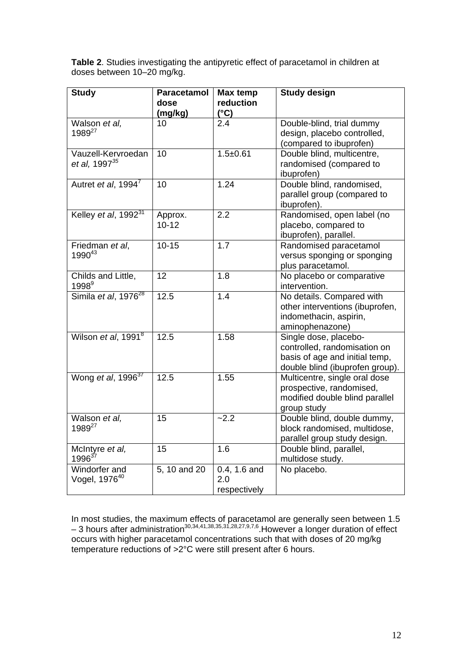**Table 2**. Studies investigating the antipyretic effect of paracetamol in children at doses between 10–20 mg/kg.

| <b>Study</b>                                    | <b>Paracetamol</b><br>dose<br>(mg/kg) | <b>Max temp</b><br>reduction<br>$(^{\circ}C)$ | <b>Study design</b>                                                                                                        |
|-------------------------------------------------|---------------------------------------|-----------------------------------------------|----------------------------------------------------------------------------------------------------------------------------|
| Walson et al,<br>1989 <sup>27</sup>             | 10                                    | 2.4                                           | Double-blind, trial dummy<br>design, placebo controlled,<br>(compared to ibuprofen)                                        |
| Vauzell-Kervroedan<br>et al, 1997 <sup>35</sup> | 10                                    | $1.5 + 0.61$                                  | Double blind, multicentre,<br>randomised (compared to<br>ibuprofen)                                                        |
| Autret et al, 1994 <sup>7</sup>                 | 10                                    | 1.24                                          | Double blind, randomised,<br>parallel group (compared to<br>ibuprofen).                                                    |
| Kelley et al, 1992 <sup>31</sup>                | Approx.<br>$10 - 12$                  | 2.2                                           | Randomised, open label (no<br>placebo, compared to<br>ibuprofen), parallel.                                                |
| Friedman et al,<br>1990 <sup>43</sup>           | $10 - 15$                             | $\overline{1.7}$                              | Randomised paracetamol<br>versus sponging or sponging<br>plus paracetamol.                                                 |
| Childs and Little,<br>1998 <sup>9</sup>         | 12                                    | 1.8                                           | No placebo or comparative<br>intervention.                                                                                 |
| Simila et al, 1976 <sup>28</sup>                | 12.5                                  | 1.4                                           | No details. Compared with<br>other interventions (ibuprofen,<br>indomethacin, aspirin,<br>aminophenazone)                  |
| Wilson et al, 1991 <sup>8</sup>                 | 12.5                                  | 1.58                                          | Single dose, placebo-<br>controlled, randomisation on<br>basis of age and initial temp,<br>double blind (ibuprofen group). |
| Wong et al, 1996 <sup>37</sup>                  | 12.5                                  | 1.55                                          | Multicentre, single oral dose<br>prospective, randomised,<br>modified double blind parallel<br>group study                 |
| Walson et al,<br>1989 <sup>27</sup>             | 15                                    | $-2.2$                                        | Double blind, double dummy,<br>block randomised, multidose,<br>parallel group study design.                                |
| McIntyre et al,<br>$1996^{37}$                  | $\overline{15}$                       | 1.6                                           | Double blind, parallel,<br>multidose study.                                                                                |
| Windorfer and<br>Vogel, 1976 <sup>40</sup>      | 5, 10 and 20                          | 0.4, 1.6 and<br>2.0<br>respectively           | No placebo.                                                                                                                |

In most studies, the maximum effects of paracetamol are generally seen between 1.5  $-$  3 hours after administration<sup>30,34,41,38,35,31,28,27,9,7,6</sup>. However a longer duration of effect occurs with higher paracetamol concentrations such that with doses of 20 mg/kg temperature reductions of >2°C were still present after 6 hours.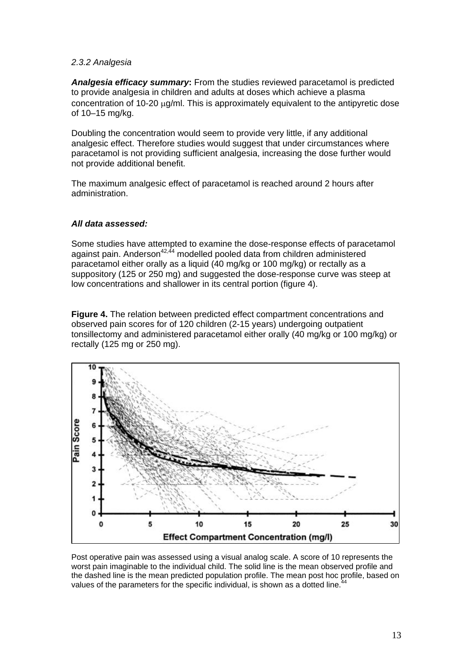## *2.3.2 Analgesia*

*Analgesia efficacy summary***:** From the studies reviewed paracetamol is predicted to provide analgesia in children and adults at doses which achieve a plasma concentration of 10-20 μg/ml. This is approximately equivalent to the antipyretic dose of 10–15 mg/kg.

Doubling the concentration would seem to provide very little, if any additional analgesic effect. Therefore studies would suggest that under circumstances where paracetamol is not providing sufficient analgesia, increasing the dose further would not provide additional benefit.

The maximum analgesic effect of paracetamol is reached around 2 hours after administration.

## *All data assessed:*

Some studies have attempted to examine the dose-response effects of paracetamol against pain. Anderson $42,44$  modelled pooled data from children administered paracetamol either orally as a liquid (40 mg/kg or 100 mg/kg) or rectally as a suppository (125 or 250 mg) and suggested the dose-response curve was steep at low concentrations and shallower in its central portion (figure 4).

**Figure 4.** The relation between predicted effect compartment concentrations and observed pain scores for of 120 children (2-15 years) undergoing outpatient tonsillectomy and administered paracetamol either orally (40 mg/kg or 100 mg/kg) or rectally (125 mg or 250 mg).



Post operative pain was assessed using a visual analog scale. A score of 10 represents the worst pain imaginable to the individual child. The solid line is the mean observed profile and the dashed line is the mean predicted population profile. The mean post hoc profile, based on values of the parameters for the specific individual, is shown as a dotted line.<sup>44</sup>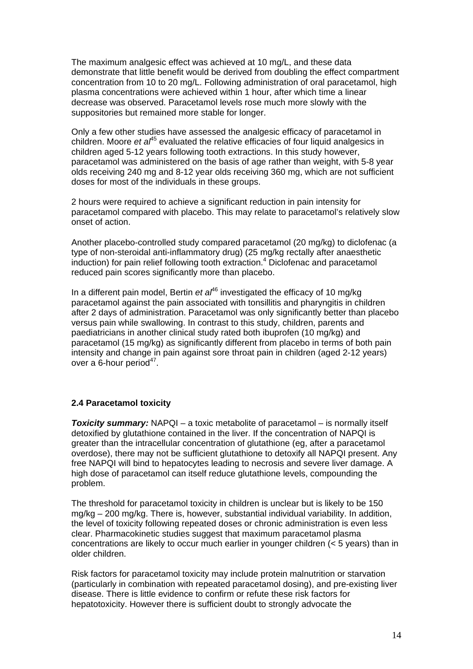The maximum analgesic effect was achieved at 10 mg/L, and these data demonstrate that little benefit would be derived from doubling the effect compartment concentration from 10 to 20 mg/L. Following administration of oral paracetamol, high plasma concentrations were achieved within 1 hour, after which time a linear decrease was observed. Paracetamol levels rose much more slowly with the suppositories but remained more stable for longer.

Only a few other studies have assessed the analgesic efficacy of paracetamol in children. Moore *et al*<sup>45</sup> evaluated the relative efficacies of four liquid analgesics in children aged 5-12 years following tooth extractions. In this study however, paracetamol was administered on the basis of age rather than weight, with 5-8 year olds receiving 240 mg and 8-12 year olds receiving 360 mg, which are not sufficient doses for most of the individuals in these groups.

2 hours were required to achieve a significant reduction in pain intensity for paracetamol compared with placebo. This may relate to paracetamol's relatively slow onset of action.

Another placebo-controlled study compared paracetamol (20 mg/kg) to diclofenac (a type of non-steroidal anti-inflammatory drug) (25 mg/kg rectally after anaesthetic induction) for pain relief following tooth extraction.<sup>4</sup> Diclofenac and paracetamol reduced pain scores significantly more than placebo.

In a different pain model, Bertin *et al*<sup>46</sup> investigated the efficacy of 10 mg/kg paracetamol against the pain associated with tonsillitis and pharyngitis in children after 2 days of administration. Paracetamol was only significantly better than placebo versus pain while swallowing. In contrast to this study, children, parents and paediatricians in another clinical study rated both ibuprofen (10 mg/kg) and paracetamol (15 mg/kg) as significantly different from placebo in terms of both pain intensity and change in pain against sore throat pain in children (aged 2-12 years) over a  $6$ -hour period $47$ .

## **2.4 Paracetamol toxicity**

*Toxicity summary:* NAPQI – a toxic metabolite of paracetamol – is normally itself detoxified by glutathione contained in the liver. If the concentration of NAPQI is greater than the intracellular concentration of glutathione (eg, after a paracetamol overdose), there may not be sufficient glutathione to detoxify all NAPQI present. Any free NAPQI will bind to hepatocytes leading to necrosis and severe liver damage. A high dose of paracetamol can itself reduce glutathione levels, compounding the problem.

The threshold for paracetamol toxicity in children is unclear but is likely to be 150 mg/kg – 200 mg/kg. There is, however, substantial individual variability. In addition, the level of toxicity following repeated doses or chronic administration is even less clear. Pharmacokinetic studies suggest that maximum paracetamol plasma concentrations are likely to occur much earlier in younger children (< 5 years) than in older children.

Risk factors for paracetamol toxicity may include protein malnutrition or starvation (particularly in combination with repeated paracetamol dosing), and pre-existing liver disease. There is little evidence to confirm or refute these risk factors for hepatotoxicity. However there is sufficient doubt to strongly advocate the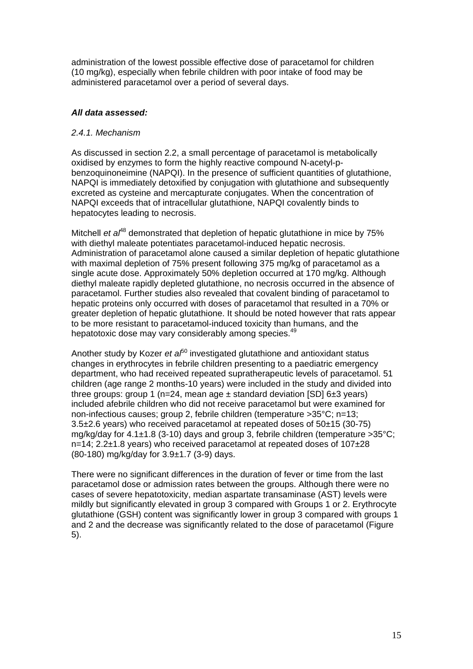administration of the lowest possible effective dose of paracetamol for children (10 mg/kg), especially when febrile children with poor intake of food may be administered paracetamol over a period of several days.

## *All data assessed:*

## *2.4.1. Mechanism*

As discussed in section 2.2, a small percentage of paracetamol is metabolically oxidised by enzymes to form the highly reactive compound N-acetyl-pbenzoquinoneimine (NAPQI). In the presence of sufficient quantities of glutathione, NAPQI is immediately detoxified by conjugation with glutathione and subsequently excreted as cysteine and mercapturate conjugates. When the concentration of NAPQI exceeds that of intracellular glutathione, NAPQI covalently binds to hepatocytes leading to necrosis.

Mitchell *et al*<sup>48</sup> demonstrated that depletion of hepatic glutathione in mice by 75% with diethyl maleate potentiates paracetamol-induced hepatic necrosis. Administration of paracetamol alone caused a similar depletion of hepatic glutathione with maximal depletion of 75% present following 375 mg/kg of paracetamol as a single acute dose. Approximately 50% depletion occurred at 170 mg/kg. Although diethyl maleate rapidly depleted glutathione, no necrosis occurred in the absence of paracetamol. Further studies also revealed that covalent binding of paracetamol to hepatic proteins only occurred with doses of paracetamol that resulted in a 70% or greater depletion of hepatic glutathione. It should be noted however that rats appear to be more resistant to paracetamol-induced toxicity than humans, and the hepatotoxic dose may vary considerably among species.<sup>49</sup>

Another study by Kozer *et al*<sup>60</sup> investigated glutathione and antioxidant status changes in erythrocytes in febrile children presenting to a paediatric emergency department, who had received repeated supratherapeutic levels of paracetamol. 51 children (age range 2 months-10 years) were included in the study and divided into three groups: group 1 (n=24, mean age  $\pm$  standard deviation [SD] 6 $\pm$ 3 years) included afebrile children who did not receive paracetamol but were examined for non-infectious causes; group 2, febrile children (temperature >35°C; n=13; 3.5±2.6 years) who received paracetamol at repeated doses of 50±15 (30-75) mg/kg/day for  $4.1 \pm 1.8$  (3-10) days and group 3, febrile children (temperature  $>35^{\circ}$ C; n=14; 2.2±1.8 years) who received paracetamol at repeated doses of 107±28 (80-180) mg/kg/day for 3.9±1.7 (3-9) days.

There were no significant differences in the duration of fever or time from the last paracetamol dose or admission rates between the groups. Although there were no cases of severe hepatotoxicity, median aspartate transaminase (AST) levels were mildly but significantly elevated in group 3 compared with Groups 1 or 2. Erythrocyte glutathione (GSH) content was significantly lower in group 3 compared with groups 1 and 2 and the decrease was significantly related to the dose of paracetamol (Figure 5).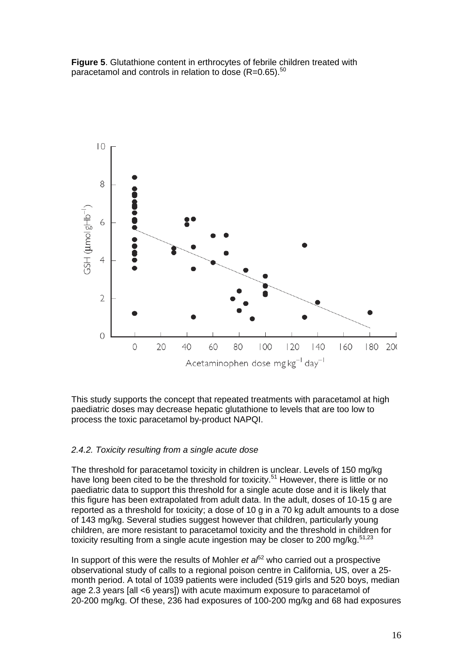**Figure 5**. Glutathione content in erthrocytes of febrile children treated with paracetamol and controls in relation to dose  $(R=0.65)$ .<sup>50</sup>



This study supports the concept that repeated treatments with paracetamol at high paediatric doses may decrease hepatic glutathione to levels that are too low to process the toxic paracetamol by-product NAPQI.

#### *2.4.2. Toxicity resulting from a single acute dose*

The threshold for paracetamol toxicity in children is unclear. Levels of 150 mg/kg have long been cited to be the threshold for toxicity.<sup>51</sup> However, there is little or no paediatric data to support this threshold for a single acute dose and it is likely that this figure has been extrapolated from adult data. In the adult, doses of 10-15 g are reported as a threshold for toxicity; a dose of 10 g in a 70 kg adult amounts to a dose of 143 mg/kg. Several studies suggest however that children, particularly young children, are more resistant to paracetamol toxicity and the threshold in children for toxicity resulting from a single acute ingestion may be closer to 200 mg/kg. $51,23$ 

In support of this were the results of Mohler *et*  $a^{62}$  who carried out a prospective observational study of calls to a regional poison centre in California, US, over a 25 month period. A total of 1039 patients were included (519 girls and 520 boys, median age 2.3 years [all <6 years]) with acute maximum exposure to paracetamol of 20-200 mg/kg. Of these, 236 had exposures of 100-200 mg/kg and 68 had exposures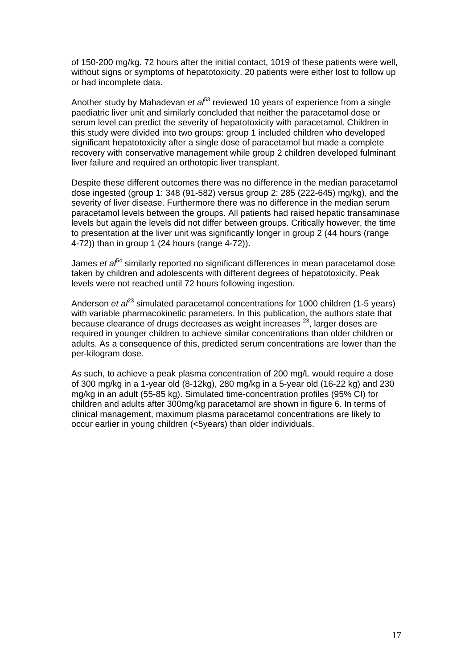of 150-200 mg/kg. 72 hours after the initial contact, 1019 of these patients were well, without signs or symptoms of hepatotoxicity. 20 patients were either lost to follow up or had incomplete data.

Another study by Mahadevan *et al*<sup>53</sup> reviewed 10 years of experience from a single paediatric liver unit and similarly concluded that neither the paracetamol dose or serum level can predict the severity of hepatotoxicity with paracetamol. Children in this study were divided into two groups: group 1 included children who developed significant hepatotoxicity after a single dose of paracetamol but made a complete recovery with conservative management while group 2 children developed fulminant liver failure and required an orthotopic liver transplant.

Despite these different outcomes there was no difference in the median paracetamol dose ingested (group 1: 348 (91-582) versus group 2: 285 (222-645) mg/kg), and the severity of liver disease. Furthermore there was no difference in the median serum paracetamol levels between the groups. All patients had raised hepatic transaminase levels but again the levels did not differ between groups. Critically however, the time to presentation at the liver unit was significantly longer in group 2 (44 hours (range 4-72)) than in group 1 (24 hours (range 4-72)).

James *et a<sup>p<sub>4</sub>*</sup> similarly reported no significant differences in mean paracetamol dose taken by children and adolescents with different degrees of hepatotoxicity. Peak levels were not reached until 72 hours following ingestion.

Anderson *et al*<sup>23</sup> simulated paracetamol concentrations for 1000 children (1-5 years) with variable pharmacokinetic parameters. In this publication, the authors state that because clearance of drugs decreases as weight increases  $23$ , larger doses are required in younger children to achieve similar concentrations than older children or adults. As a consequence of this, predicted serum concentrations are lower than the per-kilogram dose.

As such, to achieve a peak plasma concentration of 200 mg/L would require a dose of 300 mg/kg in a 1-year old (8-12kg), 280 mg/kg in a 5-year old (16-22 kg) and 230 mg/kg in an adult (55-85 kg). Simulated time-concentration profiles (95% CI) for children and adults after 300mg/kg paracetamol are shown in figure 6. In terms of clinical management, maximum plasma paracetamol concentrations are likely to occur earlier in young children (<5years) than older individuals.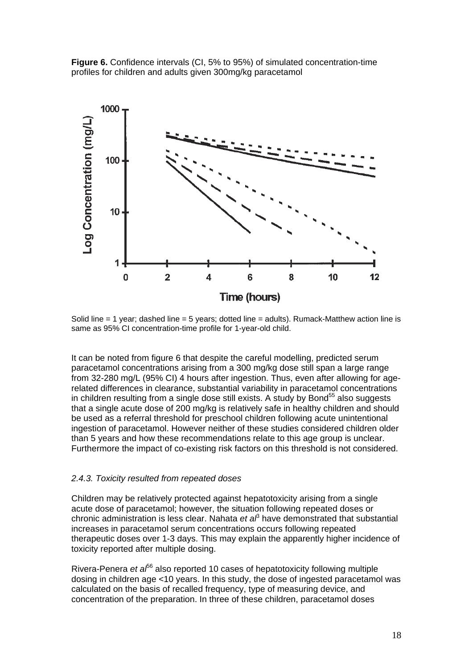



Solid line = 1 year; dashed line = 5 years; dotted line = adults). Rumack-Matthew action line is same as 95% CI concentration-time profile for 1-year-old child.

It can be noted from figure 6 that despite the careful modelling, predicted serum paracetamol concentrations arising from a 300 mg/kg dose still span a large range from 32-280 mg/L (95% CI) 4 hours after ingestion. Thus, even after allowing for agerelated differences in clearance, substantial variability in paracetamol concentrations in children resulting from a single dose still exists. A study by Bond<sup>55</sup> also suggests that a single acute dose of 200 mg/kg is relatively safe in healthy children and should be used as a referral threshold for preschool children following acute unintentional ingestion of paracetamol. However neither of these studies considered children older than 5 years and how these recommendations relate to this age group is unclear. Furthermore the impact of co-existing risk factors on this threshold is not considered.

#### *2.4.3. Toxicity resulted from repeated doses*

Children may be relatively protected against hepatotoxicity arising from a single acute dose of paracetamol; however, the situation following repeated doses or chronic administration is less clear. Nahata *et al*<sup>3</sup> have demonstrated that substantial increases in paracetamol serum concentrations occurs following repeated therapeutic doses over 1-3 days. This may explain the apparently higher incidence of toxicity reported after multiple dosing.

Rivera-Penera *et al*56 also reported 10 cases of hepatotoxicity following multiple dosing in children age <10 years. In this study, the dose of ingested paracetamol was calculated on the basis of recalled frequency, type of measuring device, and concentration of the preparation. In three of these children, paracetamol doses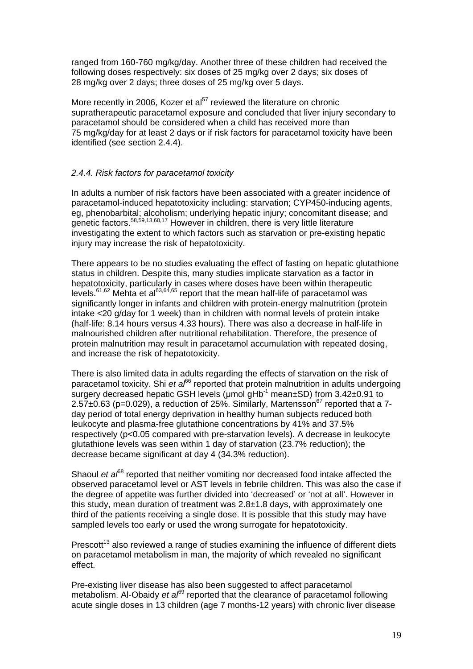ranged from 160-760 mg/kg/day. Another three of these children had received the following doses respectively: six doses of 25 mg/kg over 2 days; six doses of 28 mg/kg over 2 days; three doses of 25 mg/kg over 5 days.

More recently in 2006, Kozer et al $57$  reviewed the literature on chronic supratherapeutic paracetamol exposure and concluded that liver injury secondary to paracetamol should be considered when a child has received more than 75 mg/kg/day for at least 2 days or if risk factors for paracetamol toxicity have been identified (see section 2.4.4).

## *2.4.4. Risk factors for paracetamol toxicity*

In adults a number of risk factors have been associated with a greater incidence of paracetamol-induced hepatotoxicity including: starvation; CYP450-inducing agents, eg, phenobarbital; alcoholism; underlying hepatic injury; concomitant disease; and genetic factors.<sup>58,59,13,60,17</sup> However in children, there is very little literature investigating the extent to which factors such as starvation or pre-existing hepatic injury may increase the risk of hepatotoxicity.

There appears to be no studies evaluating the effect of fasting on hepatic glutathione status in children. Despite this, many studies implicate starvation as a factor in hepatotoxicity, particularly in cases where doses have been within therapeutic levels. $61,62$  Mehta et al $63,64,65$  report that the mean half-life of paracetamol was significantly longer in infants and children with protein-energy malnutrition (protein intake <20 g/day for 1 week) than in children with normal levels of protein intake (half-life: 8.14 hours versus 4.33 hours). There was also a decrease in half-life in malnourished children after nutritional rehabilitation. Therefore, the presence of protein malnutrition may result in paracetamol accumulation with repeated dosing, and increase the risk of hepatotoxicity.

There is also limited data in adults regarding the effects of starvation on the risk of paracetamol toxicity. Shi *et al*<sup>66</sup> reported that protein malnutrition in adults undergoing surgery decreased hepatic GSH levels (μmol gHb<sup>-1</sup> mean±SD) from 3.42±0.91 to  $2.57\pm0.63$  (p=0.029), a reduction of 25%. Similarly, Martensson<sup>67</sup> reported that a 7day period of total energy deprivation in healthy human subjects reduced both leukocyte and plasma-free glutathione concentrations by 41% and 37.5% respectively (p<0.05 compared with pre-starvation levels). A decrease in leukocyte glutathione levels was seen within 1 day of starvation (23.7% reduction); the decrease became significant at day 4 (34.3% reduction).

Shaoul *et a*<sup>68</sup> reported that neither vomiting nor decreased food intake affected the observed paracetamol level or AST levels in febrile children. This was also the case if the degree of appetite was further divided into 'decreased' or 'not at all'. However in this study, mean duration of treatment was 2.8±1.8 days, with approximately one third of the patients receiving a single dose. It is possible that this study may have sampled levels too early or used the wrong surrogate for hepatotoxicity.

Prescott<sup>13</sup> also reviewed a range of studies examining the influence of different diets on paracetamol metabolism in man, the majority of which revealed no significant effect.

Pre-existing liver disease has also been suggested to affect paracetamol metabolism. Al-Obaidy *et al*<sup>69</sup> reported that the clearance of paracetamol following acute single doses in 13 children (age 7 months-12 years) with chronic liver disease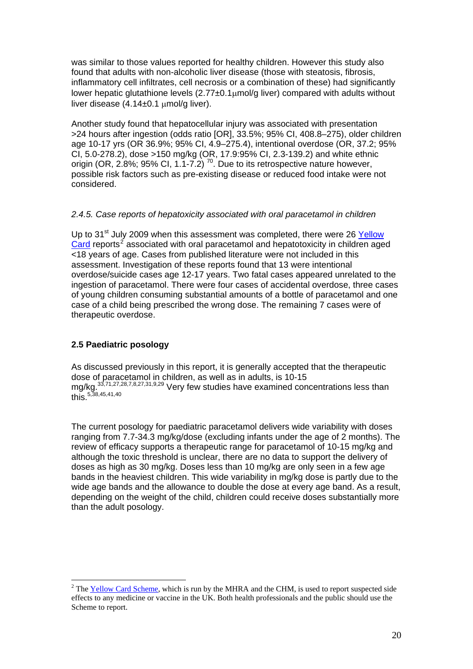was similar to those values reported for healthy children. However this study also found that adults with non-alcoholic liver disease (those with steatosis, fibrosis, inflammatory cell infiltrates, cell necrosis or a combination of these) had significantly lower hepatic glutathione levels (2.77±0.1μmol/g liver) compared with adults without liver disease (4.14±0.1 μmol/g liver).

Another study found that hepatocellular injury was associated with presentation >24 hours after ingestion (odds ratio [OR], 33.5%; 95% CI, 408.8–275), older children age 10-17 yrs (OR 36.9%; 95% CI, 4.9–275.4), intentional overdose (OR, 37.2; 95% CI, 5.0-278.2), dose >150 mg/kg (OR, 17.9:95% CI, 2.3-139.2) and white ethnic origin (OR, 2.8%; 95% CI, 1.1-7.2)  $^{70}$ . Due to its retrospective nature however, possible risk factors such as pre-existing disease or reduced food intake were not considered.

## *2.4.5. Case reports of hepatoxicity associated with oral paracetamol in children*

Up to 31<sup>st</sup> July 2009 when this assessment was completed, there were 26 Yellow [Card](http://yellowcard.mhra.gov.uk/) reports<sup>[2](#page-19-0)</sup> associated with oral paracetamol and hepatotoxicity in children aged <18 years of age. Cases from published literature were not included in this assessment. Investigation of these reports found that 13 were intentional overdose/suicide cases age 12-17 years. Two fatal cases appeared unrelated to the ingestion of paracetamol. There were four cases of accidental overdose, three cases of young children consuming substantial amounts of a bottle of paracetamol and one case of a child being prescribed the wrong dose. The remaining 7 cases were of therapeutic overdose.

# **2.5 Paediatric posology**

 $\overline{a}$ 

As discussed previously in this report, it is generally accepted that the therapeutic dose of paracetamol in children, as well as in adults, is 10-15 mg/kg.<sup>33,71,27,28,7,8,27,31,9,29</sup> Very few studies have examined concentrations less than  $\sum_{5,38,45,41,40}$ 

The current posology for paediatric paracetamol delivers wide variability with doses ranging from 7.7-34.3 mg/kg/dose (excluding infants under the age of 2 months). The review of efficacy supports a therapeutic range for paracetamol of 10-15 mg/kg and although the toxic threshold is unclear, there are no data to support the delivery of doses as high as 30 mg/kg. Doses less than 10 mg/kg are only seen in a few age bands in the heaviest children. This wide variability in mg/kg dose is partly due to the wide age bands and the allowance to double the dose at every age band. As a result, depending on the weight of the child, children could receive doses substantially more than the adult posology.

<span id="page-19-0"></span><sup>&</sup>lt;sup>2</sup> The  $Yellow Card Scheme$  $Yellow Card Scheme$  $Yellow Card Scheme$ , which is run by the MHRA and the CHM, is used to report suspected side</u> effects to any medicine or vaccine in the UK. Both health professionals and the public should use the Scheme to report.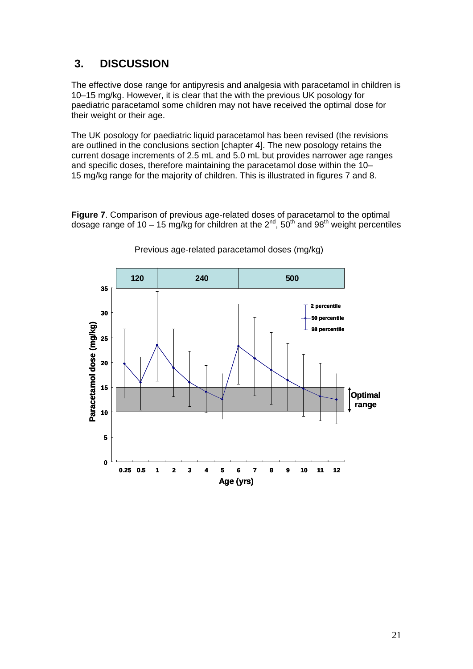# **3. DISCUSSION**

The effective dose range for antipyresis and analgesia with paracetamol in children is 10–15 mg/kg. However, it is clear that the with the previous UK posology for paediatric paracetamol some children may not have received the optimal dose for their weight or their age.

The UK posology for paediatric liquid paracetamol has been revised (the revisions are outlined in the conclusions section [chapter 4]. The new posology retains the current dosage increments of 2.5 mL and 5.0 mL but provides narrower age ranges and specific doses, therefore maintaining the paracetamol dose within the 10– 15 mg/kg range for the majority of children. This is illustrated in figures 7 and 8.

**Figure 7**. Comparison of previous age-related doses of paracetamol to the optimal dosage range of 10 – 15 mg/kg for children at the  $2^{nd}$ ,  $50^{th}$  and  $98^{th}$  weight percentiles



Previous age-related paracetamol doses (mg/kg)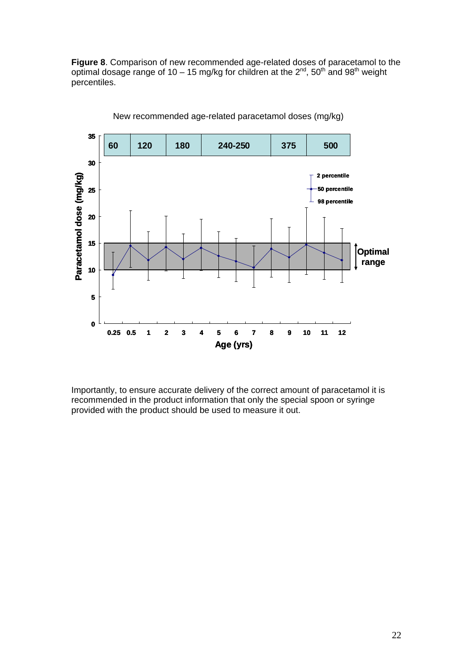**Figure 8**. Comparison of new recommended age-related doses of paracetamol to the optimal dosage range of 10 – 15 mg/kg for children at the  $2^{nd}$ , 50<sup>th</sup> and 98<sup>th</sup> weight percentiles.



Age related paracetamol doses (mg/kg) New recommended age-related paracetamol doses (mg/kg)

Importantly, to ensure accurate delivery of the correct amount of paracetamol it is recommended in the product information that only the special spoon or syringe provided with the product should be used to measure it out.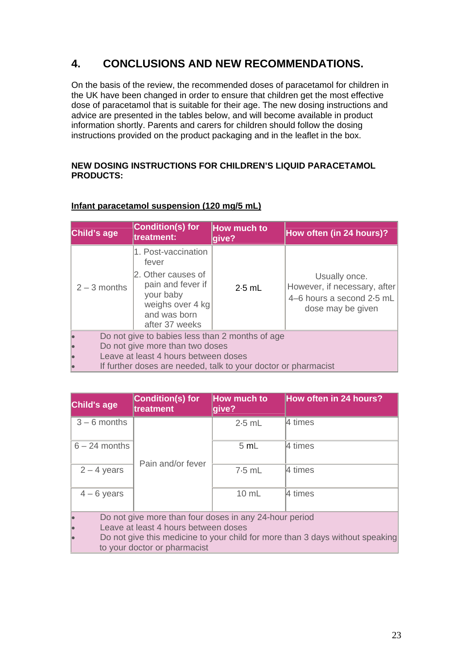# **4. CONCLUSIONS AND NEW RECOMMENDATIONS.**

On the basis of the review, the recommended doses of paracetamol for children in the UK have been changed in order to ensure that children get the most effective dose of paracetamol that is suitable for their age. The new dosing instructions and advice are presented in the tables below, and will become available in product information shortly. Parents and carers for children should follow the dosing instructions provided on the product packaging and in the leaflet in the box.

## **NEW DOSING INSTRUCTIONS FOR CHILDREN'S LIQUID PARACETAMOL PRODUCTS:**

| Child's age                                                    | <b>Condition(s) for</b><br>treatment:                                                                                                      | <b>How much to</b><br>give? | How often (in 24 hours)?                                                                        |
|----------------------------------------------------------------|--------------------------------------------------------------------------------------------------------------------------------------------|-----------------------------|-------------------------------------------------------------------------------------------------|
| $2 - 3$ months                                                 | 1. Post-vaccination<br>fever<br>2. Other causes of<br>pain and fever if<br>your baby<br>weighs over 4 kg<br>and was born<br>after 37 weeks | $2.5$ mL                    | Usually once.<br>However, if necessary, after<br>4–6 hours a second 2.5 mL<br>dose may be given |
| Do not give to babies less than 2 months of age                |                                                                                                                                            |                             |                                                                                                 |
| Do not give more than two doses                                |                                                                                                                                            |                             |                                                                                                 |
| Leave at least 4 hours between doses                           |                                                                                                                                            |                             |                                                                                                 |
| If further doses are needed, talk to your doctor or pharmacist |                                                                                                                                            |                             |                                                                                                 |

# **Infant paracetamol suspension (120 mg/5 mL)**

| Child's age                                                                                                   | <b>Condition(s) for</b><br>treatment | How much to<br>give? | <b>How often in 24 hours?</b> |
|---------------------------------------------------------------------------------------------------------------|--------------------------------------|----------------------|-------------------------------|
| $3 - 6$ months                                                                                                | Pain and/or fever                    | $2.5$ mL             | 4 times                       |
| $6 - 24$ months                                                                                               |                                      | 5 mL                 | $ 4 \times$                   |
| $2 - 4$ years                                                                                                 |                                      | $7.5$ mL             | 4 times                       |
| $4 - 6$ years                                                                                                 |                                      | $10 \text{ mL}$      | 4 times                       |
| Do not give more than four doses in any 24-hour period                                                        |                                      |                      |                               |
| Leave at least 4 hours between doses                                                                          |                                      |                      |                               |
| Do not give this medicine to your child for more than 3 days without speaking<br>to your doctor or pharmacist |                                      |                      |                               |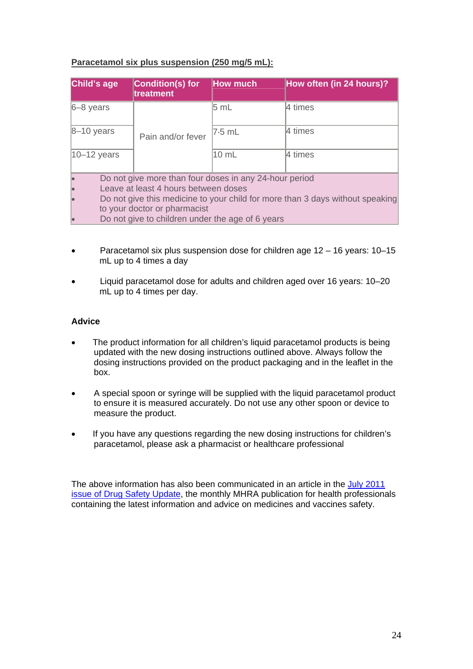# **Paracetamol six plus suspension (250 mg/5 mL):**

| Child's age      | <b>Condition(s) for</b><br>treatment                                          | <b>How much</b> | How often (in 24 hours)? |
|------------------|-------------------------------------------------------------------------------|-----------------|--------------------------|
| $6 - 8$ years    |                                                                               | 5 mL            | 4 times                  |
| $8-10$ years     | Pain and/or fever                                                             | 7.5 mL          | 4 times                  |
| $ 10 - 12$ years |                                                                               | $10$ mL         | 4 times                  |
|                  | Do not give more than four doses in any 24-hour period                        |                 |                          |
|                  | Leave at least 4 hours between doses                                          |                 |                          |
|                  | Do not give this medicine to your child for more than 3 days without speaking |                 |                          |
|                  | to your doctor or pharmacist                                                  |                 |                          |
|                  | Do not give to children under the age of 6 years                              |                 |                          |

- Paracetamol six plus suspension dose for children age 12 16 years: 10–15 mL up to 4 times a day
- Liquid paracetamol dose for adults and children aged over 16 years: 10–20 mL up to 4 times per day.

## **Advice**

- The product information for all children's liquid paracetamol products is being updated with the new dosing instructions outlined above. Always follow the dosing instructions provided on the product packaging and in the leaflet in the box.
- A special spoon or syringe will be supplied with the liquid paracetamol product to ensure it is measured accurately. Do not use any other spoon or device to measure the product.
- If you have any questions regarding the new dosing instructions for children's paracetamol, please ask a pharmacist or healthcare professional

The above information has also been communicated in an article in the July 2011 [issue of Drug Safety Update](http://www.mhra.gov.uk/Safetyinformation/DrugSafetyUpdate/CON123113), the monthly MHRA publication for health professionals containing the latest information and advice on medicines and vaccines safety.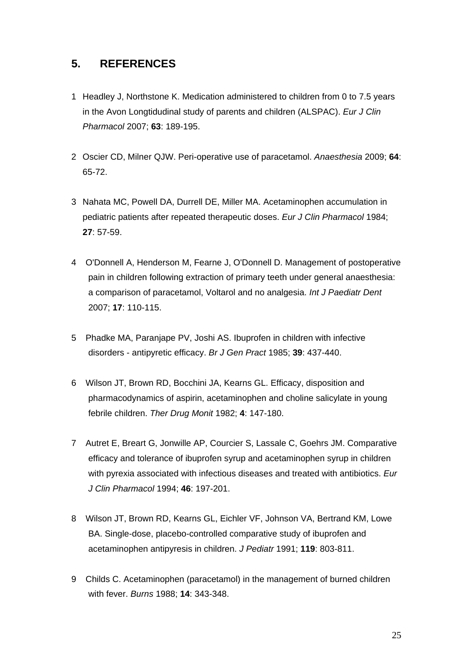# **5. REFERENCES**

- 1 Headley J, Northstone K. Medication administered to children from 0 to 7.5 years in the Avon Longtidudinal study of parents and children (ALSPAC). *Eur J Clin Pharmacol* 2007; **63**: 189-195.
- 2 Oscier CD, Milner QJW. Peri-operative use of paracetamol. *Anaesthesia* 2009; **64**: 65-72.
- 3 Nahata MC, Powell DA, Durrell DE, Miller MA. Acetaminophen accumulation in pediatric patients after repeated therapeutic doses. *Eur J Clin Pharmacol* 1984; **27**: 57-59.
- 4 O'Donnell A, Henderson M, Fearne J, O'Donnell D. Management of postoperative pain in children following extraction of primary teeth under general anaesthesia: a comparison of paracetamol, Voltarol and no analgesia. *Int J Paediatr Dent* 2007; **17**: 110-115.
- 5 Phadke MA, Paranjape PV, Joshi AS. Ibuprofen in children with infective disorders - antipyretic efficacy. *Br J Gen Pract* 1985; **39**: 437-440.
- 6 Wilson JT, Brown RD, Bocchini JA, Kearns GL. Efficacy, disposition and pharmacodynamics of aspirin, acetaminophen and choline salicylate in young febrile children. *Ther Drug Monit* 1982; **4**: 147-180.
- 7 Autret E, Breart G, Jonwille AP, Courcier S, Lassale C, Goehrs JM. Comparative efficacy and tolerance of ibuprofen syrup and acetaminophen syrup in children with pyrexia associated with infectious diseases and treated with antibiotics. *Eur J Clin Pharmacol* 1994; **46**: 197-201.
- 8 Wilson JT, Brown RD, Kearns GL, Eichler VF, Johnson VA, Bertrand KM, Lowe BA. Single-dose, placebo-controlled comparative study of ibuprofen and acetaminophen antipyresis in children. *J Pediatr* 1991; **119**: 803-811.
- 9 Childs C. Acetaminophen (paracetamol) in the management of burned children with fever. *Burns* 1988; **14**: 343-348.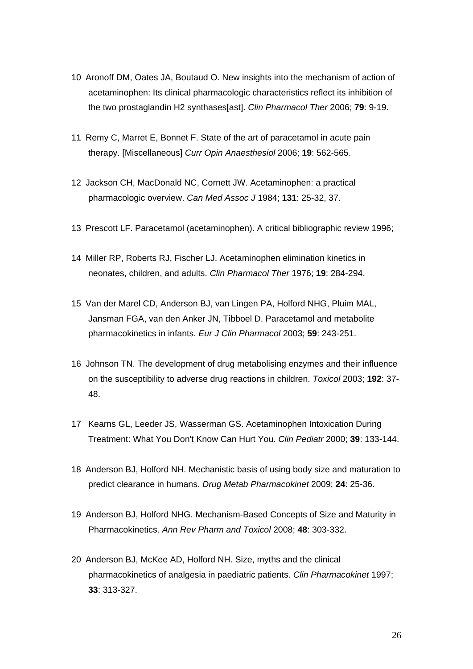- 10 Aronoff DM, Oates JA, Boutaud O. New insights into the mechanism of action of acetaminophen: Its clinical pharmacologic characteristics reflect its inhibition of the two prostaglandin H2 synthases[ast]. *Clin Pharmacol Ther* 2006; **79**: 9-19.
- 11 Remy C, Marret E, Bonnet F. State of the art of paracetamol in acute pain therapy. [Miscellaneous] *Curr Opin Anaesthesiol* 2006; **19**: 562-565.
- 12 Jackson CH, MacDonald NC, Cornett JW. Acetaminophen: a practical pharmacologic overview. *Can Med Assoc J* 1984; **131**: 25-32, 37.
- 13 Prescott LF. Paracetamol (acetaminophen). A critical bibliographic review 1996;
- 14 Miller RP, Roberts RJ, Fischer LJ. Acetaminophen elimination kinetics in neonates, children, and adults. *Clin Pharmacol Ther* 1976; **19**: 284-294.
- 15 Van der Marel CD, Anderson BJ, van Lingen PA, Holford NHG, Pluim MAL, Jansman FGA, van den Anker JN, Tibboel D. Paracetamol and metabolite pharmacokinetics in infants. *Eur J Clin Pharmacol* 2003; **59**: 243-251.
- 16 Johnson TN. The development of drug metabolising enzymes and their influence on the susceptibility to adverse drug reactions in children. *Toxicol* 2003; **192**: 37- 48.
- 17 Kearns GL, Leeder JS, Wasserman GS. Acetaminophen Intoxication During Treatment: What You Don't Know Can Hurt You. *Clin Pediatr* 2000; **39**: 133-144.
- 18 Anderson BJ, Holford NH. Mechanistic basis of using body size and maturation to predict clearance in humans. *Drug Metab Pharmacokinet* 2009; **24**: 25-36.
- 19 Anderson BJ, Holford NHG. Mechanism-Based Concepts of Size and Maturity in Pharmacokinetics. *Ann Rev Pharm and Toxicol* 2008; **48**: 303-332.
- 20 Anderson BJ, McKee AD, Holford NH. Size, myths and the clinical pharmacokinetics of analgesia in paediatric patients. *Clin Pharmacokinet* 1997; **33**: 313-327.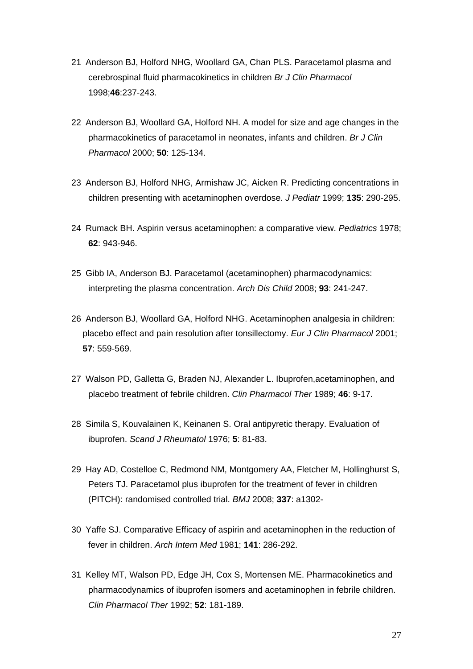- 21 Anderson BJ, Holford NHG, Woollard GA, Chan PLS. Paracetamol plasma and cerebrospinal fluid pharmacokinetics in children *Br J Clin Pharmacol* 1998;**46**:237-243.
- 22 Anderson BJ, Woollard GA, Holford NH. A model for size and age changes in the pharmacokinetics of paracetamol in neonates, infants and children. *Br J Clin Pharmacol* 2000; **50**: 125-134.
- 23 Anderson BJ, Holford NHG, Armishaw JC, Aicken R. Predicting concentrations in children presenting with acetaminophen overdose. *J Pediatr* 1999; **135**: 290-295.
- 24 Rumack BH. Aspirin versus acetaminophen: a comparative view. *Pediatrics* 1978; **62**: 943-946.
- 25 Gibb IA, Anderson BJ. Paracetamol (acetaminophen) pharmacodynamics: interpreting the plasma concentration. *Arch Dis Child* 2008; **93**: 241-247.
- 26 Anderson BJ, Woollard GA, Holford NHG. Acetaminophen analgesia in children: placebo effect and pain resolution after tonsillectomy. *Eur J Clin Pharmacol* 2001; **57**: 559-569.
- 27 Walson PD, Galletta G, Braden NJ, Alexander L. Ibuprofen,acetaminophen, and placebo treatment of febrile children. *Clin Pharmacol Ther* 1989; **46**: 9-17.
- 28 Simila S, Kouvalainen K, Keinanen S. Oral antipyretic therapy. Evaluation of ibuprofen. *Scand J Rheumatol* 1976; **5**: 81-83.
- 29 Hay AD, Costelloe C, Redmond NM, Montgomery AA, Fletcher M, Hollinghurst S, Peters TJ. Paracetamol plus ibuprofen for the treatment of fever in children (PITCH): randomised controlled trial. *BMJ* 2008; **337**: a1302-
- 30 Yaffe SJ. Comparative Efficacy of aspirin and acetaminophen in the reduction of fever in children. *Arch Intern Med* 1981; **141**: 286-292.
- 31 Kelley MT, Walson PD, Edge JH, Cox S, Mortensen ME. Pharmacokinetics and pharmacodynamics of ibuprofen isomers and acetaminophen in febrile children. *Clin Pharmacol Ther* 1992; **52**: 181-189.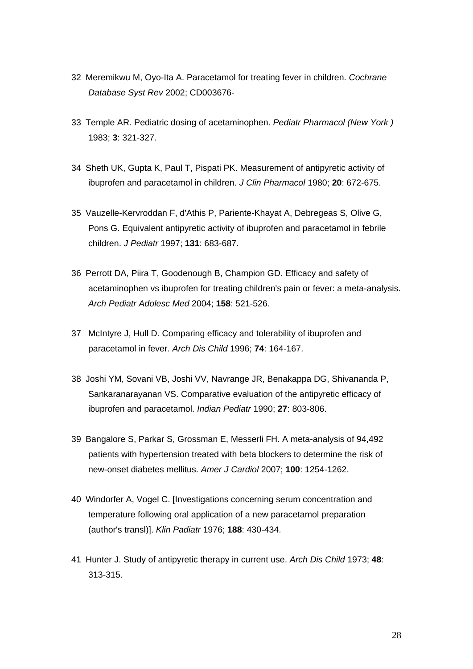- 32 Meremikwu M, Oyo-Ita A. Paracetamol for treating fever in children. *Cochrane Database Syst Rev* 2002; CD003676-
- 33 Temple AR. Pediatric dosing of acetaminophen. *Pediatr Pharmacol (New York )* 1983; **3**: 321-327.
- 34 Sheth UK, Gupta K, Paul T, Pispati PK. Measurement of antipyretic activity of ibuprofen and paracetamol in children. *J Clin Pharmacol* 1980; **20**: 672-675.
- 35 Vauzelle-Kervroddan F, d'Athis P, Pariente-Khayat A, Debregeas S, Olive G, Pons G. Equivalent antipyretic activity of ibuprofen and paracetamol in febrile children. *J Pediatr* 1997; **131**: 683-687.
- 36 Perrott DA, Piira T, Goodenough B, Champion GD. Efficacy and safety of acetaminophen vs ibuprofen for treating children's pain or fever: a meta-analysis. *Arch Pediatr Adolesc Med* 2004; **158**: 521-526.
- 37 McIntyre J, Hull D. Comparing efficacy and tolerability of ibuprofen and paracetamol in fever. *Arch Dis Child* 1996; **74**: 164-167.
- 38 Joshi YM, Sovani VB, Joshi VV, Navrange JR, Benakappa DG, Shivananda P, Sankaranarayanan VS. Comparative evaluation of the antipyretic efficacy of ibuprofen and paracetamol. *Indian Pediatr* 1990; **27**: 803-806.
- 39 Bangalore S, Parkar S, Grossman E, Messerli FH. A meta-analysis of 94,492 patients with hypertension treated with beta blockers to determine the risk of new-onset diabetes mellitus. *Amer J Cardiol* 2007; **100**: 1254-1262.
- 40 Windorfer A, Vogel C. [Investigations concerning serum concentration and temperature following oral application of a new paracetamol preparation (author's transl)]. *Klin Padiatr* 1976; **188**: 430-434.
- 41 Hunter J. Study of antipyretic therapy in current use. *Arch Dis Child* 1973; **48**: 313-315.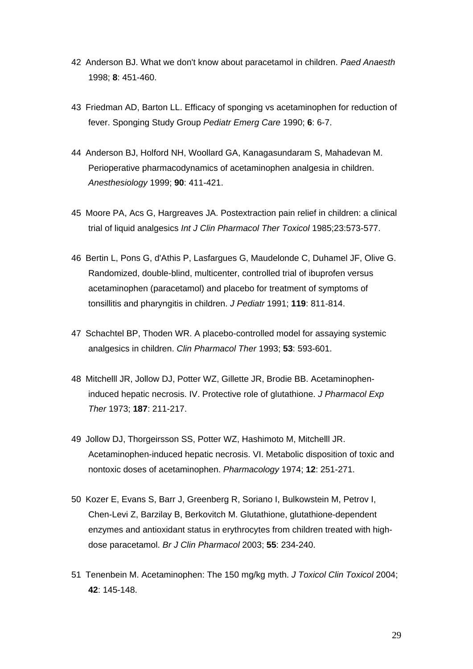- 42 Anderson BJ. What we don't know about paracetamol in children. *Paed Anaesth* 1998; **8**: 451-460.
- 43 Friedman AD, Barton LL. Efficacy of sponging vs acetaminophen for reduction of fever. Sponging Study Group *Pediatr Emerg Care* 1990; **6**: 6-7.
- 44 Anderson BJ, Holford NH, Woollard GA, Kanagasundaram S, Mahadevan M. Perioperative pharmacodynamics of acetaminophen analgesia in children. *Anesthesiology* 1999; **90**: 411-421.
- 45 Moore PA, Acs G, Hargreaves JA. Postextraction pain relief in children: a clinical trial of liquid analgesics *Int J Clin Pharmacol Ther Toxicol* 1985;23:573-577.
- 46 Bertin L, Pons G, d'Athis P, Lasfargues G, Maudelonde C, Duhamel JF, Olive G. Randomized, double-blind, multicenter, controlled trial of ibuprofen versus acetaminophen (paracetamol) and placebo for treatment of symptoms of tonsillitis and pharyngitis in children. *J Pediatr* 1991; **119**: 811-814.
- 47 Schachtel BP, Thoden WR. A placebo-controlled model for assaying systemic analgesics in children. *Clin Pharmacol Ther* 1993; **53**: 593-601.
- 48 Mitchelll JR, Jollow DJ, Potter WZ, Gillette JR, Brodie BB. Acetaminopheninduced hepatic necrosis. IV. Protective role of glutathione. *J Pharmacol Exp Ther* 1973; **187**: 211-217.
- 49 Jollow DJ, Thorgeirsson SS, Potter WZ, Hashimoto M, Mitchelll JR. Acetaminophen-induced hepatic necrosis. VI. Metabolic disposition of toxic and nontoxic doses of acetaminophen. *Pharmacology* 1974; **12**: 251-271.
- 50 Kozer E, Evans S, Barr J, Greenberg R, Soriano I, Bulkowstein M, Petrov I, Chen-Levi Z, Barzilay B, Berkovitch M. Glutathione, glutathione-dependent enzymes and antioxidant status in erythrocytes from children treated with highdose paracetamol. *Br J Clin Pharmacol* 2003; **55**: 234-240.
- 51 Tenenbein M. Acetaminophen: The 150 mg/kg myth. *J Toxicol Clin Toxicol* 2004; **42**: 145-148.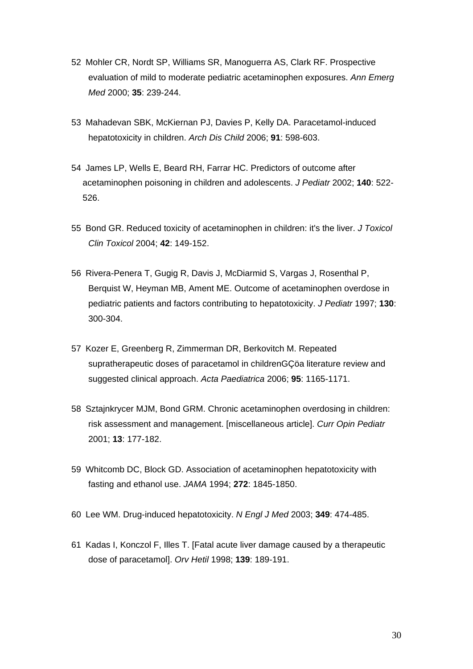- 52 Mohler CR, Nordt SP, Williams SR, Manoguerra AS, Clark RF. Prospective evaluation of mild to moderate pediatric acetaminophen exposures. *Ann Emerg Med* 2000; **35**: 239-244.
- 53 Mahadevan SBK, McKiernan PJ, Davies P, Kelly DA. Paracetamol-induced hepatotoxicity in children. *Arch Dis Child* 2006; **91**: 598-603.
- 54 James LP, Wells E, Beard RH, Farrar HC. Predictors of outcome after acetaminophen poisoning in children and adolescents. *J Pediatr* 2002; **140**: 522- 526.
- 55 Bond GR. Reduced toxicity of acetaminophen in children: it's the liver. *J Toxicol Clin Toxicol* 2004; **42**: 149-152.
- 56 Rivera-Penera T, Gugig R, Davis J, McDiarmid S, Vargas J, Rosenthal P, Berquist W, Heyman MB, Ament ME. Outcome of acetaminophen overdose in pediatric patients and factors contributing to hepatotoxicity. *J Pediatr* 1997; **130**: 300-304.
- 57 Kozer E, Greenberg R, Zimmerman DR, Berkovitch M. Repeated supratherapeutic doses of paracetamol in childrenGÇöa literature review and suggested clinical approach. *Acta Paediatrica* 2006; **95**: 1165-1171.
- 58 Sztajnkrycer MJM, Bond GRM. Chronic acetaminophen overdosing in children: risk assessment and management. [miscellaneous article]. *Curr Opin Pediatr* 2001; **13**: 177-182.
- 59 Whitcomb DC, Block GD. Association of acetaminophen hepatotoxicity with fasting and ethanol use. *JAMA* 1994; **272**: 1845-1850.
- 60 Lee WM. Drug-induced hepatotoxicity. *N Engl J Med* 2003; **349**: 474-485.
- 61 Kadas I, Konczol F, Illes T. [Fatal acute liver damage caused by a therapeutic dose of paracetamol]. *Orv Hetil* 1998; **139**: 189-191.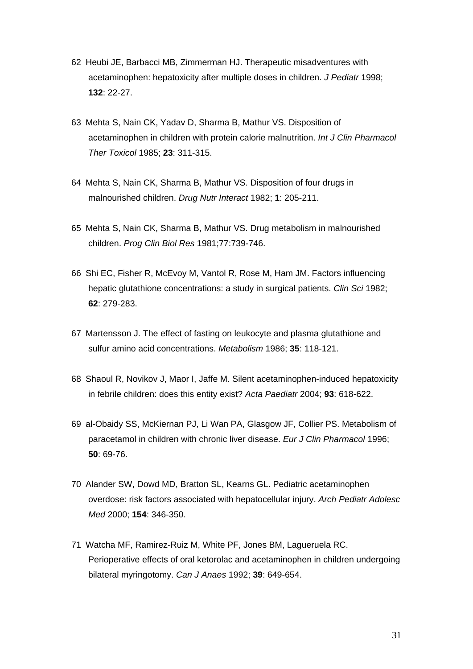- 62 Heubi JE, Barbacci MB, Zimmerman HJ. Therapeutic misadventures with acetaminophen: hepatoxicity after multiple doses in children. *J Pediatr* 1998; **132**: 22-27.
- 63 Mehta S, Nain CK, Yadav D, Sharma B, Mathur VS. Disposition of acetaminophen in children with protein calorie malnutrition. *Int J Clin Pharmacol Ther Toxicol* 1985; **23**: 311-315.
- 64 Mehta S, Nain CK, Sharma B, Mathur VS. Disposition of four drugs in malnourished children. *Drug Nutr Interact* 1982; **1**: 205-211.
- 65 Mehta S, Nain CK, Sharma B, Mathur VS. Drug metabolism in malnourished children. *Prog Clin Biol Res* 1981;77:739-746.
- 66 Shi EC, Fisher R, McEvoy M, Vantol R, Rose M, Ham JM. Factors influencing hepatic glutathione concentrations: a study in surgical patients. *Clin Sci* 1982; **62**: 279-283.
- 67 Martensson J. The effect of fasting on leukocyte and plasma glutathione and sulfur amino acid concentrations. *Metabolism* 1986; **35**: 118-121.
- 68 Shaoul R, Novikov J, Maor I, Jaffe M. Silent acetaminophen-induced hepatoxicity in febrile children: does this entity exist? *Acta Paediatr* 2004; **93**: 618-622.
- 69 al-Obaidy SS, McKiernan PJ, Li Wan PA, Glasgow JF, Collier PS. Metabolism of paracetamol in children with chronic liver disease. *Eur J Clin Pharmacol* 1996; **50**: 69-76.
- 70 Alander SW, Dowd MD, Bratton SL, Kearns GL. Pediatric acetaminophen overdose: risk factors associated with hepatocellular injury. *Arch Pediatr Adolesc Med* 2000; **154**: 346-350.
- 71 Watcha MF, Ramirez-Ruiz M, White PF, Jones BM, Lagueruela RC. Perioperative effects of oral ketorolac and acetaminophen in children undergoing bilateral myringotomy. *Can J Anaes* 1992; **39**: 649-654.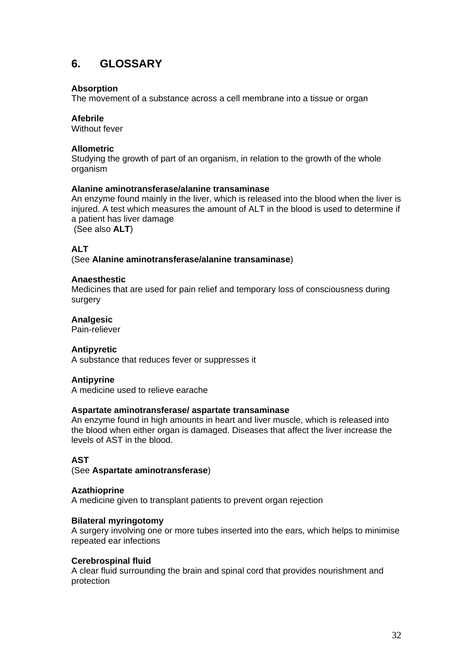# **6. GLOSSARY**

## **Absorption**

The movement of a substance across a cell membrane into a tissue or organ

## **Afebrile**

Without fever

## **Allometric**

Studying the growth of part of an organism, in relation to the growth of the whole organism

## **Alanine aminotransferase/alanine transaminase**

An enzyme found mainly in the liver, which is released into the blood when the liver is injured. A test which measures the amount of ALT in the blood is used to determine if a patient has liver damage

(See also **ALT**)

# **ALT**

(See **Alanine aminotransferase/alanine transaminase**)

## **Anaesthestic**

Medicines that are used for pain relief and temporary loss of consciousness during surgery

## **Analgesic**

Pain-reliever

## **Antipyretic**

A substance that reduces fever or suppresses it

#### **Antipyrine**

A medicine used to relieve earache

#### **Aspartate aminotransferase/ aspartate transaminase**

An enzyme found in high amounts in heart and liver muscle, which is released into the blood when either organ is damaged. Diseases that affect the liver increase the levels of AST in the blood.

## **AST**

(See **Aspartate aminotransferase**)

#### **Azathioprine**

A medicine given to transplant patients to prevent organ rejection

#### **Bilateral myringotomy**

A surgery involving one or more tubes inserted into the ears, which helps to minimise repeated ear infections

#### **Cerebrospinal fluid**

A clear fluid surrounding the brain and spinal cord that provides nourishment and protection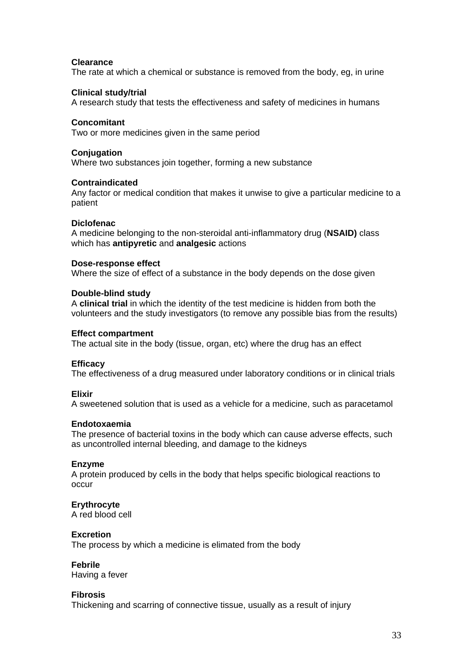### **Clearance**

The rate at which a chemical or substance is removed from the body, eg, in urine

### **Clinical study/trial**

A research study that tests the effectiveness and safety of medicines in humans

### **Concomitant**

Two or more medicines given in the same period

### **Conjugation**

Where two substances join together, forming a new substance

## **Contraindicated**

Any factor or medical condition that makes it unwise to give a particular medicine to a patient

## **Diclofenac**

A medicine belonging to the non-steroidal anti-inflammatory drug (**NSAID)** class which has **antipyretic** and **analgesic** actions

## **Dose-response effect**

Where the size of effect of a substance in the body depends on the dose given

## **Double-blind study**

A **clinical trial** in which the identity of the test medicine is hidden from both the volunteers and the study investigators (to remove any possible bias from the results)

### **Effect compartment**

The actual site in the body (tissue, organ, etc) where the drug has an effect

#### **Efficacy**

The effectiveness of a drug measured under laboratory conditions or in clinical trials

#### **Elixir**

A sweetened solution that is used as a vehicle for a medicine, such as paracetamol

#### **Endotoxaemia**

The presence of bacterial toxins in the body which can cause adverse effects, such as uncontrolled internal bleeding, and damage to the kidneys

#### **Enzyme**

A protein produced by cells in the body that helps specific biological reactions to occur

## **Erythrocyte**

A red blood cell

#### **Excretion**

The process by which a medicine is elimated from the body

#### **Febrile**

Having a fever

#### **Fibrosis**

Thickening and scarring of connective tissue, usually as a result of injury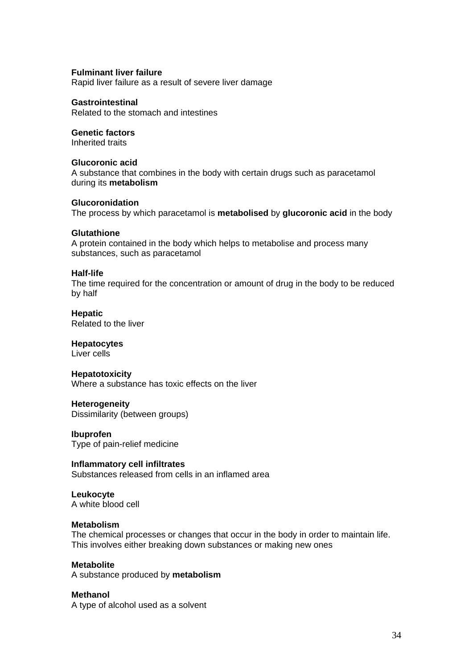## **Fulminant liver failure**

Rapid liver failure as a result of severe liver damage

### **Gastrointestinal**

Related to the stomach and intestines

## **Genetic factors**

Inherited traits

### **Glucoronic acid**

A substance that combines in the body with certain drugs such as paracetamol during its **metabolism**

## **Glucoronidation**

The process by which paracetamol is **metabolised** by **glucoronic acid** in the body

## **Glutathione**

A protein contained in the body which helps to metabolise and process many substances, such as paracetamol

#### **Half-life**

The time required for the concentration or amount of drug in the body to be reduced by half

**Hepatic**  Related to the liver

## **Hepatocytes**

Liver cells

#### **Hepatotoxicity**

Where a substance has toxic effects on the liver

**Heterogeneity**  Dissimilarity (between groups)

**Ibuprofen**  Type of pain-relief medicine

**Inflammatory cell infiltrates**  Substances released from cells in an inflamed area

## **Leukocyte**

A white blood cell

#### **Metabolism**

The chemical processes or changes that occur in the body in order to maintain life. This involves either breaking down substances or making new ones

#### **Metabolite**

A substance produced by **metabolism** 

#### **Methanol**

A type of alcohol used as a solvent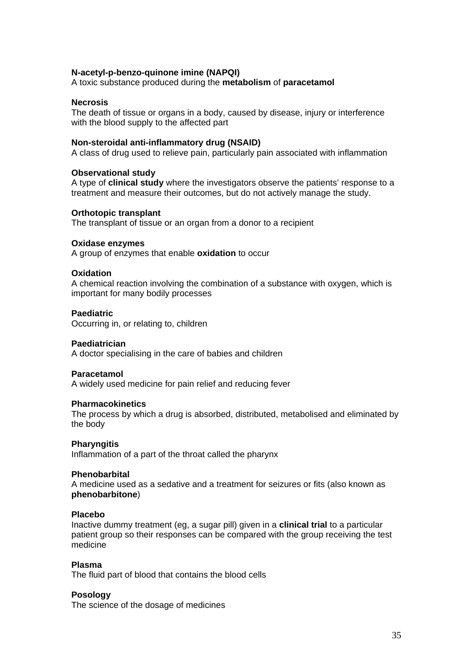## **N-acetyl-p-benzo-quinone imine (NAPQI)**

A toxic substance produced during the **metabolism** of **paracetamol**

#### **Necrosis**

The death of tissue or organs in a body, caused by disease, injury or interference with the blood supply to the affected part

#### **Non-steroidal anti-inflammatory drug (NSAID)**

A class of drug used to relieve pain, particularly pain associated with inflammation

### **Observational study**

A type of **clinical study** where the investigators observe the patients' response to a treatment and measure their outcomes, but do not actively manage the study.

#### **Orthotopic transplant**

The transplant of tissue or an organ from a donor to a recipient

#### **Oxidase enzymes**

A group of enzymes that enable **oxidation** to occur

#### **Oxidation**

A chemical reaction involving the combination of a substance with oxygen, which is important for many bodily processes

### **Paediatric**

Occurring in, or relating to, children

#### **Paediatrician**

A doctor specialising in the care of babies and children

#### **Paracetamol**

A widely used medicine for pain relief and reducing fever

#### **Pharmacokinetics**

The process by which a drug is absorbed, distributed, metabolised and eliminated by the body

#### **Pharyngitis**

Inflammation of a part of the throat called the pharynx

#### **Phenobarbital**

A medicine used as a sedative and a treatment for seizures or fits (also known as **phenobarbitone**)

#### **Placebo**

Inactive dummy treatment (eg, a sugar pill) given in a **clinical trial** to a particular patient group so their responses can be compared with the group receiving the test medicine

#### **Plasma**

The fluid part of blood that contains the blood cells

#### **Posology**

The science of the dosage of medicines